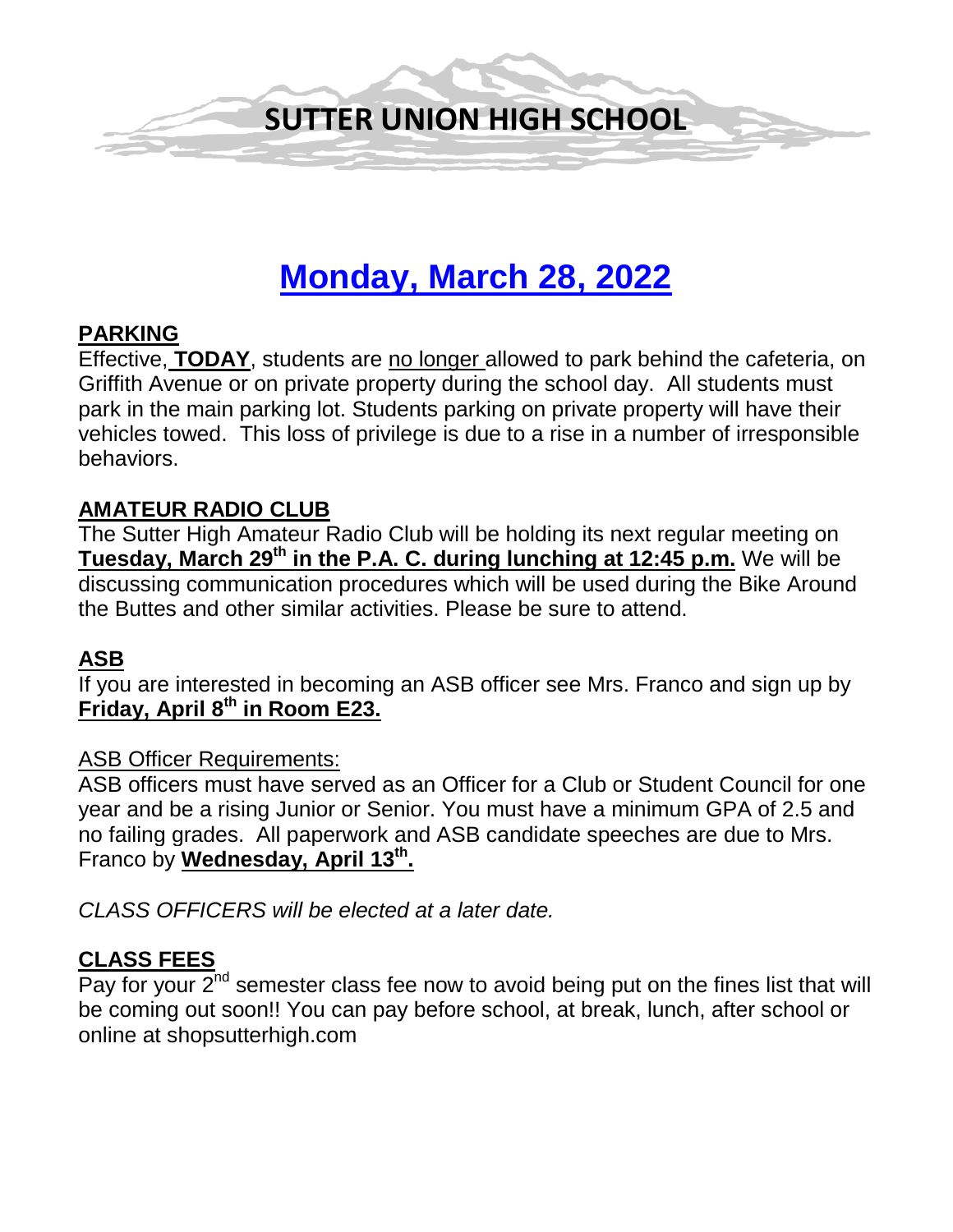

# **Monday, March 28, 2022**

# **PARKING**

Effective, **TODAY**, students are no longer allowed to park behind the cafeteria, on Griffith Avenue or on private property during the school day. All students must park in the main parking lot. Students parking on private property will have their vehicles towed. This loss of privilege is due to a rise in a number of irresponsible behaviors.

# **AMATEUR RADIO CLUB**

The Sutter High Amateur Radio Club will be holding its next regular meeting on **Tuesday, March 29th in the P.A. C. during lunching at 12:45 p.m.** We will be discussing communication procedures which will be used during the Bike Around the Buttes and other similar activities. Please be sure to attend.

# **ASB**

If you are interested in becoming an ASB officer see Mrs. Franco and sign up by **Friday, April 8th in Room E23.**

#### ASB Officer Requirements:

ASB officers must have served as an Officer for a Club or Student Council for one year and be a rising Junior or Senior. You must have a minimum GPA of 2.5 and no failing grades. All paperwork and ASB candidate speeches are due to Mrs. Franco by **Wednesday, April 13th.** 

*CLASS OFFICERS will be elected at a later date.* 

#### **CLASS FEES**

Pay for your  $2^{nd}$  semester class fee now to avoid being put on the fines list that will be coming out soon!! You can pay before school, at break, lunch, after school or online at shopsutterhigh.com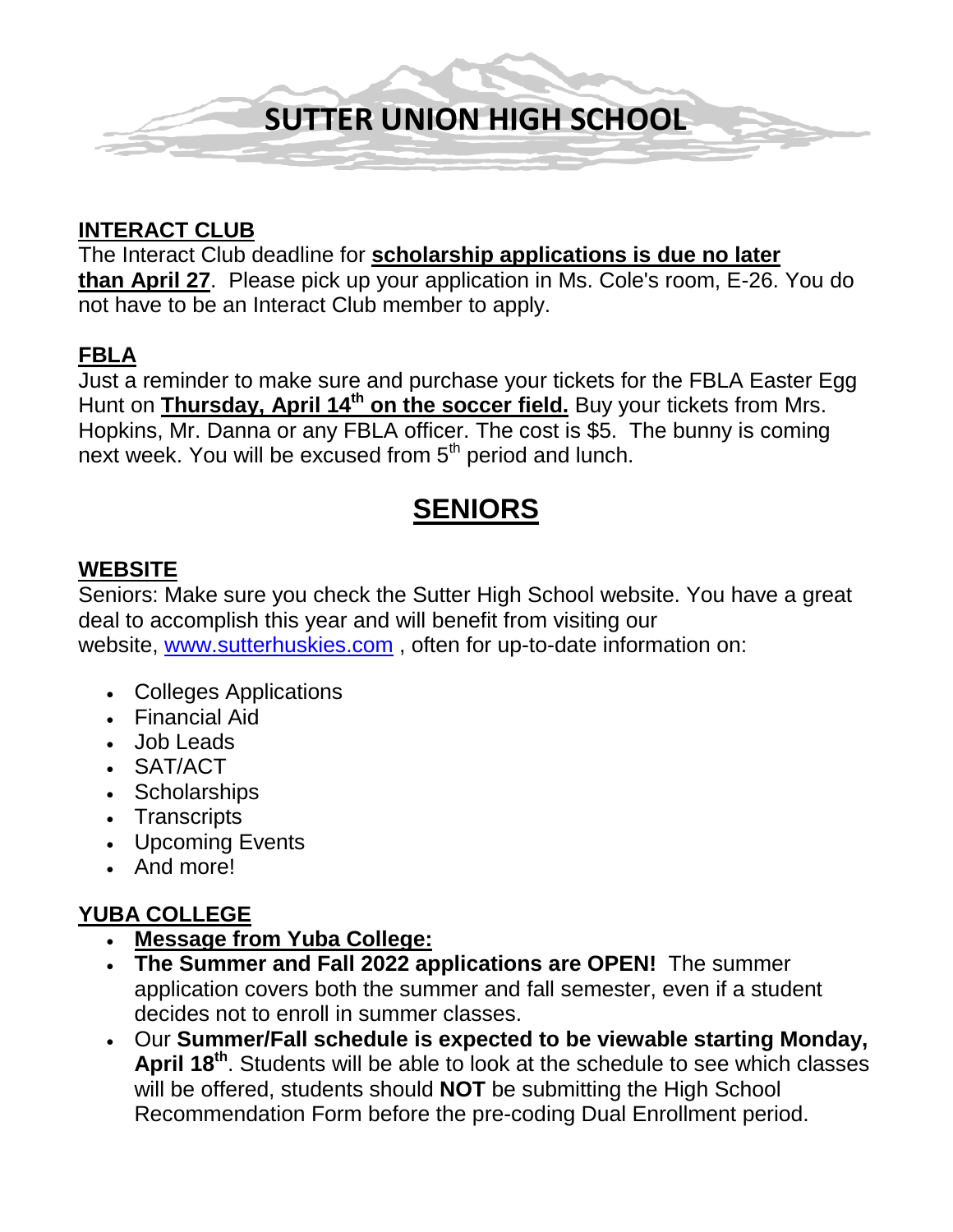

# **INTERACT CLUB**

The Interact Club deadline for **scholarship applications is due no later than April 27**. Please pick up your application in Ms. Cole's room, E-26. You do not have to be an Interact Club member to apply.

# **FBLA**

Just a reminder to make sure and purchase your tickets for the FBLA Easter Egg Hunt on **Thursday, April 14<sup>th</sup> on the soccer field.** Buy your tickets from Mrs. Hopkins, Mr. Danna or any FBLA officer. The cost is \$5. The bunny is coming next week. You will be excused from 5<sup>th</sup> period and lunch.

# **SENIORS**

# **WEBSITE**

Seniors: Make sure you check the Sutter High School website. You have a great deal to accomplish this year and will benefit from visiting our website, [www.sutterhuskies.com](http://www.sutterhuskies.com/) , often for up-to-date information on:

- Colleges Applications
- Financial Aid
- Job Leads
- SAT/ACT
- Scholarships
- Transcripts
- Upcoming Events
- And more!

# **YUBA COLLEGE**

- **Message from Yuba College:**
- **The Summer and Fall 2022 applications are OPEN!** The summer application covers both the summer and fall semester, even if a student decides not to enroll in summer classes.
- Our **Summer/Fall schedule is expected to be viewable starting Monday, April 18th**. Students will be able to look at the schedule to see which classes will be offered, students should **NOT** be submitting the High School Recommendation Form before the pre-coding Dual Enrollment period.